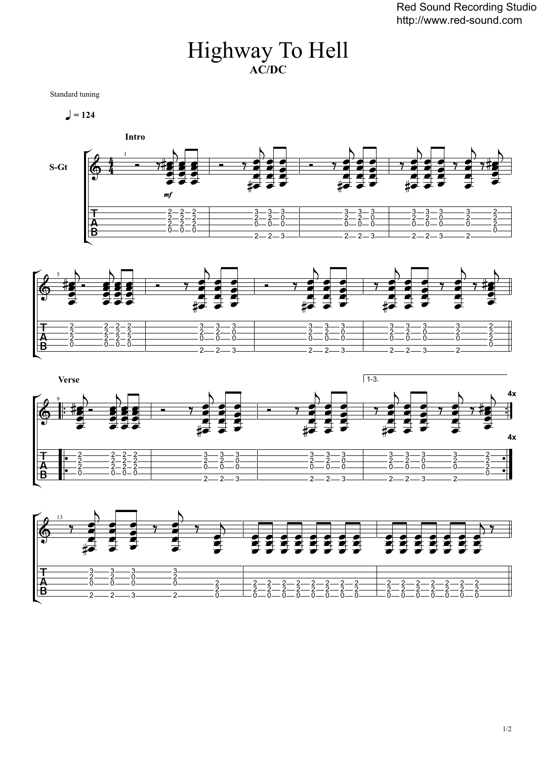## Highway To Hell **AC/DC**

Standard tuning

 $= 124$ 









1/2